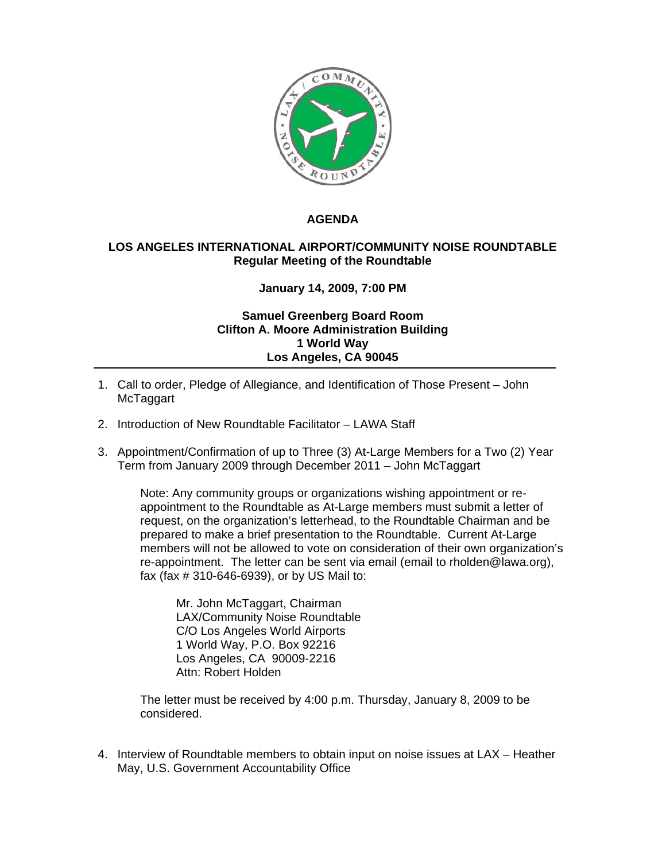

## **AGENDA**

## **LOS ANGELES INTERNATIONAL AIRPORT/COMMUNITY NOISE ROUNDTABLE Regular Meeting of the Roundtable**

## **January 14, 2009, 7:00 PM**

## **Samuel Greenberg Board Room Clifton A. Moore Administration Building 1 World Way Los Angeles, CA 90045**

- 1. Call to order, Pledge of Allegiance, and Identification of Those Present John McTaggart
- 2. Introduction of New Roundtable Facilitator LAWA Staff
- 3. Appointment/Confirmation of up to Three (3) At-Large Members for a Two (2) Year Term from January 2009 through December 2011 – John McTaggart

Note: Any community groups or organizations wishing appointment or reappointment to the Roundtable as At-Large members must submit a letter of request, on the organization's letterhead, to the Roundtable Chairman and be prepared to make a brief presentation to the Roundtable. Current At-Large members will not be allowed to vote on consideration of their own organization's re-appointment. The letter can be sent via email (email to rholden@lawa.org), fax (fax # 310-646-6939), or by US Mail to:

Mr. John McTaggart, Chairman LAX/Community Noise Roundtable C/O Los Angeles World Airports 1 World Way, P.O. Box 92216 Los Angeles, CA 90009-2216 Attn: Robert Holden

 The letter must be received by 4:00 p.m. Thursday, January 8, 2009 to be considered.

4. Interview of Roundtable members to obtain input on noise issues at LAX – Heather May, U.S. Government Accountability Office